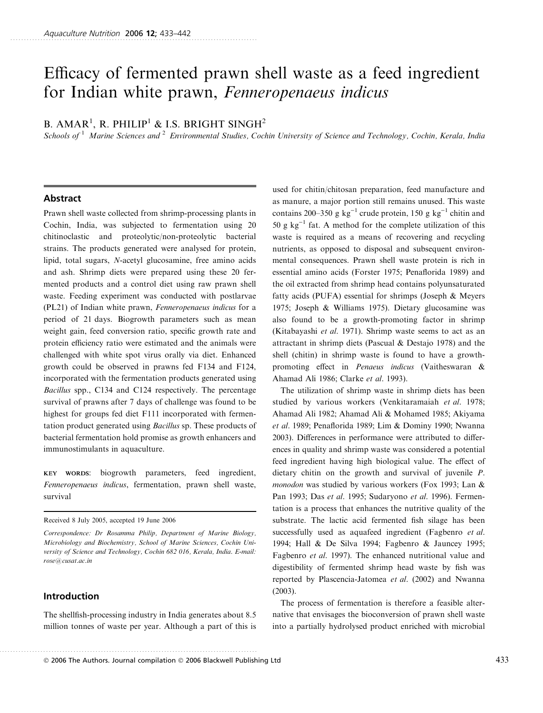# Efficacy of fermented prawn shell waste as a feed ingredient for Indian white prawn, Fenneropenaeus indicus

## B. AMAR<sup>1</sup>, R. PHILIP<sup>1</sup> & I.S. BRIGHT SINGH<sup>2</sup>

Schools of <sup>1</sup> Marine Sciences and <sup>2</sup> Environmental Studies, Cochin University of Science and Technology, Cochin, Kerala, India

## Abstract

Prawn shell waste collected from shrimp-processing plants in Cochin, India, was subjected to fermentation using 20 chitinoclastic and proteolytic/non-proteolytic bacterial strains. The products generated were analysed for protein, lipid, total sugars, N-acetyl glucosamine, free amino acids and ash. Shrimp diets were prepared using these 20 fermented products and a control diet using raw prawn shell waste. Feeding experiment was conducted with postlarvae (PL21) of Indian white prawn, Fenneropenaeus indicus for a period of 21 days. Biogrowth parameters such as mean weight gain, feed conversion ratio, specific growth rate and protein efficiency ratio were estimated and the animals were challenged with white spot virus orally via diet. Enhanced growth could be observed in prawns fed F134 and F124, incorporated with the fermentation products generated using Bacillus spp., C134 and C124 respectively. The percentage survival of prawns after 7 days of challenge was found to be highest for groups fed diet F111 incorporated with fermentation product generated using Bacillus sp. These products of bacterial fermentation hold promise as growth enhancers and immunostimulants in aquaculture.

KEY WORDS: biogrowth parameters, feed ingredient, Fenneropenaeus indicus, fermentation, prawn shell waste, survival

Received 8 July 2005, accepted 19 June 2006

## Introduction

The shellfish-processing industry in India generates about 8.5 million tonnes of waste per year. Although a part of this is

. .............................................................................................

used for chitin/chitosan preparation, feed manufacture and as manure, a major portion still remains unused. This waste contains 200–350 g kg<sup>-1</sup> crude protein, 150 g kg<sup>-1</sup> chitin and 50 g  $kg^{-1}$  fat. A method for the complete utilization of this waste is required as a means of recovering and recycling nutrients, as opposed to disposal and subsequent environmental consequences. Prawn shell waste protein is rich in essential amino acids (Forster 1975; Penaflorida 1989) and the oil extracted from shrimp head contains polyunsaturated fatty acids (PUFA) essential for shrimps (Joseph & Meyers 1975; Joseph & Williams 1975). Dietary glucosamine was also found to be a growth-promoting factor in shrimp (Kitabayashi et al. 1971). Shrimp waste seems to act as an attractant in shrimp diets (Pascual & Destajo 1978) and the shell (chitin) in shrimp waste is found to have a growthpromoting effect in Penaeus indicus (Vaitheswaran & Ahamad Ali 1986; Clarke et al. 1993).

The utilization of shrimp waste in shrimp diets has been studied by various workers (Venkitaramaiah et al. 1978; Ahamad Ali 1982; Ahamad Ali & Mohamed 1985; Akiyama et al. 1989; Penaflorida 1989; Lim & Dominy 1990; Nwanna 2003). Differences in performance were attributed to differences in quality and shrimp waste was considered a potential feed ingredient having high biological value. The effect of dietary chitin on the growth and survival of juvenile P. monodon was studied by various workers (Fox 1993; Lan & Pan 1993; Das et al. 1995; Sudaryono et al. 1996). Fermentation is a process that enhances the nutritive quality of the substrate. The lactic acid fermented fish silage has been successfully used as aquafeed ingredient (Fagbenro *et al.*) 1994; Hall & De Silva 1994; Fagbenro & Jauncey 1995; Fagbenro et al. 1997). The enhanced nutritional value and digestibility of fermented shrimp head waste by fish was reported by Plascencia-Jatomea et al. (2002) and Nwanna (2003).

The process of fermentation is therefore a feasible alternative that envisages the bioconversion of prawn shell waste into a partially hydrolysed product enriched with microbial

 $\textcircled{\textsc{i}}$  2006 The Authors. Journal compilation  $\textcircled{\textsc{i}}$  2006 Blackwell Publishing Ltd  $\text{433}$ 

Correspondence: Dr Rosamma Philip, Department of Marine Biology, Microbiology and Biochemistry, School of Marine Sciences, Cochin University of Science and Technology, Cochin 682 016, Kerala, India. E-mail: rose@cusat.ac.in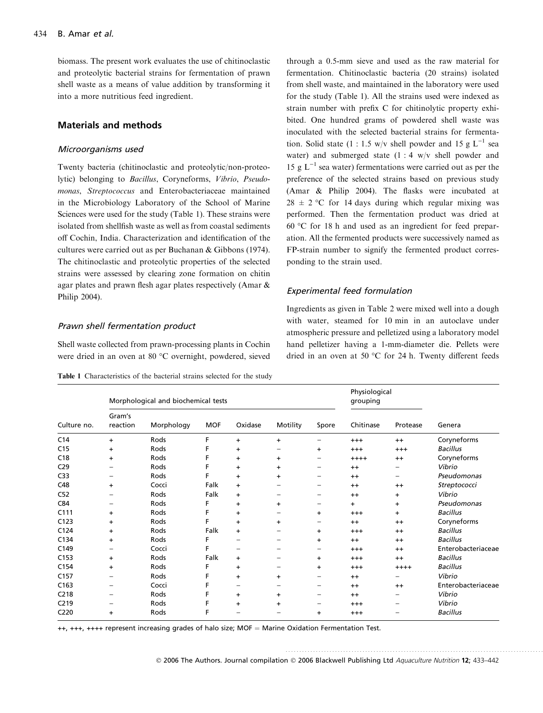biomass. The present work evaluates the use of chitinoclastic and proteolytic bacterial strains for fermentation of prawn shell waste as a means of value addition by transforming it into a more nutritious feed ingredient.

## Materials and methods

#### Microorganisms used

Twenty bacteria (chitinoclastic and proteolytic/non-proteolytic) belonging to Bacillus, Coryneforms, Vibrio, Pseudomonas, Streptococcus and Enterobacteriaceae maintained in the Microbiology Laboratory of the School of Marine Sciences were used for the study (Table 1). These strains were isolated from shellfish waste as well as from coastal sediments off Cochin, India. Characterization and identification of the cultures were carried out as per Buchanan & Gibbons (1974). The chitinoclastic and proteolytic properties of the selected strains were assessed by clearing zone formation on chitin agar plates and prawn flesh agar plates respectively (Amar & Philip 2004).

#### Prawn shell fermentation product

Shell waste collected from prawn-processing plants in Cochin were dried in an oven at 80 °C overnight, powdered, sieved

Table 1 Characteristics of the bacterial strains selected for the study

through a 0.5-mm sieve and used as the raw material for fermentation. Chitinoclastic bacteria (20 strains) isolated from shell waste, and maintained in the laboratory were used for the study (Table 1). All the strains used were indexed as strain number with prefix C for chitinolytic property exhibited. One hundred grams of powdered shell waste was inoculated with the selected bacterial strains for fermentation. Solid state (1 : 1.5 w/v shell powder and 15 g  $L^{-1}$  sea water) and submerged state  $(1:4 \text{ w/v}$  shell powder and 15 g  $L^{-1}$  sea water) fermentations were carried out as per the preference of the selected strains based on previous study (Amar & Philip 2004). The flasks were incubated at  $28 \pm 2$  °C for 14 days during which regular mixing was performed. Then the fermentation product was dried at 60  $\degree$ C for 18 h and used as an ingredient for feed preparation. All the fermented products were successively named as FP-strain number to signify the fermented product corresponding to the strain used.

#### Experimental feed formulation

Ingredients as given in Table 2 were mixed well into a dough with water, steamed for 10 min in an autoclave under atmospheric pressure and pelletized using a laboratory model hand pelletizer having a 1-mm-diameter die. Pellets were dried in an oven at 50  $^{\circ}$ C for 24 h. Twenty different feeds

..............................................................................................

| Culture no.      | Morphological and biochemical tests |            |            |           |           |                          | Physiological<br>grouping |                   |                    |
|------------------|-------------------------------------|------------|------------|-----------|-----------|--------------------------|---------------------------|-------------------|--------------------|
|                  | Gram's<br>reaction                  | Morphology | <b>MOF</b> | Oxidase   | Motility  | Spore                    | Chitinase                 | Protease          | Genera             |
| C <sub>14</sub>  | $+$                                 | Rods       | F          | $+$       | $+$       | -                        | $+++$                     | $++$              | Coryneforms        |
| C <sub>15</sub>  | $\ddot{}$                           | Rods       | F          | $\ddot{}$ | -         | $\ddot{}$                | $^{+++}$                  | $^{+++}$          | <b>Bacillus</b>    |
| C18              | $\ddot{}$                           | Rods       | F          | $\ddot{}$ | $\ddot{}$ | -                        | $++++$                    | $^{++}$           | Coryneforms        |
| C <sub>29</sub>  |                                     | Rods       |            | $\ddot{}$ | $+$       | -                        | $++$                      |                   | Vibrio             |
| C <sub>33</sub>  |                                     | Rods       |            | $\ddot{}$ | $\ddot{}$ | -                        | $++$                      | $\qquad \qquad -$ | Pseudomonas        |
| C48              | $+$                                 | Cocci      | Falk       | $+$       |           | -                        | $++$                      | $++$              | Streptococci       |
| C52              |                                     | Rods       | Falk       | $+$       | -         | —                        | $++$                      | $+$               | Vibrio             |
| C84              |                                     | Rods       | F          | $\ddot{}$ | $\ddot{}$ | —                        | $+$                       | $\ddot{}$         | Pseudomonas        |
| C111             | $\ddot{}$                           | Rods       | F          | $\ddot{}$ | -         | $\ddot{}$                | $+++$                     | $\ddot{}$         | <b>Bacillus</b>    |
| C123             | $+$                                 | Rods       | F          | $+$       | $\ddot{}$ | —                        | $++$                      | $++$              | Coryneforms        |
| C124             | $\ddot{}$                           | Rods       | Falk       | $+$       |           | $\ddot{}$                | $^{+++}$                  | $^{++}$           | <b>Bacillus</b>    |
| C134             | $+$                                 | Rods       | F          |           |           | $\ddot{}$                | $++$                      | $++$              | <b>Bacillus</b>    |
| C149             |                                     | Cocci      | F          |           |           | -                        | $+++$                     | $++$              | Enterobacteriaceae |
| C <sub>153</sub> | $+$                                 | Rods       | Falk       | $+$       | -         | $\ddot{}$                | $^{+++}$                  | $++$              | <b>Bacillus</b>    |
| C154             | $\ddot{}$                           | Rods       | F          | $\ddot{}$ | -         | $\ddot{}$                | $^{+++}$                  | $++++$            | <b>Bacillus</b>    |
| C157             | -                                   | Rods       | F          | $+$       | $\ddot{}$ | -                        | $++$                      | -                 | Vibrio             |
| C163             |                                     | Cocci      |            |           |           | -                        | $++$                      | $++$              | Enterobacteriaceae |
| C <sub>218</sub> | -                                   | Rods       |            | $\ddot{}$ | $\ddot{}$ | $\overline{\phantom{0}}$ | $++$                      | $\qquad \qquad -$ | Vibrio             |
| C <sub>219</sub> |                                     | Rods       |            | $\ddot{}$ | +         |                          | $^{+++}$                  |                   | Vibrio             |
| C220             | $+$                                 | Rods       | F          |           | -         | $+$                      | $^{++}$                   | -                 | <b>Bacillus</b>    |

++, +++, ++++ represent increasing grades of halo size; MOF = Marine Oxidation Fermentation Test.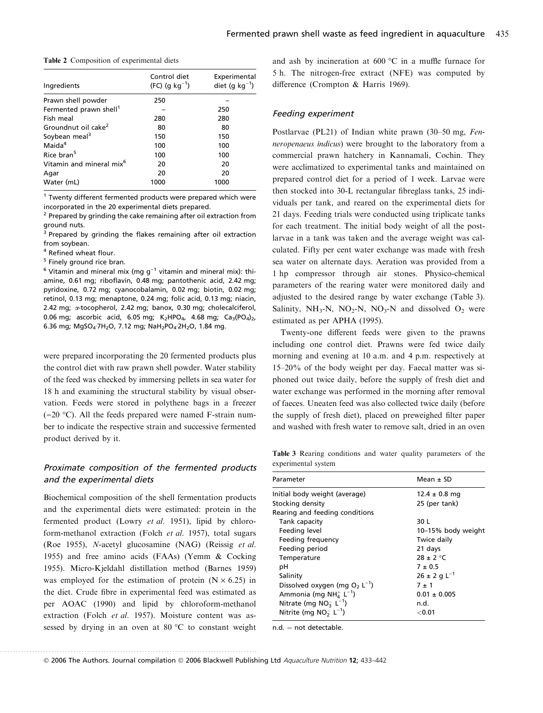|  |  | <b>Table 2</b> Composition of experimental diets |  |
|--|--|--------------------------------------------------|--|
|--|--|--------------------------------------------------|--|

| Ingredients                          | Control diet<br>$(FC)$ (q kg <sup>-1</sup> ) | Experimental<br>diet (g $kg^{-1}$ ) |  |
|--------------------------------------|----------------------------------------------|-------------------------------------|--|
| Prawn shell powder                   | 250                                          |                                     |  |
| Fermented prawn shell <sup>1</sup>   |                                              | 250                                 |  |
| Fish meal                            | 280                                          | 280                                 |  |
| Groundnut oil cake <sup>2</sup>      | 80                                           | 80                                  |  |
| Soybean meal <sup>3</sup>            | 150                                          | 150                                 |  |
| Maida <sup>4</sup>                   | 100                                          | 100                                 |  |
| Rice bran <sup>5</sup>               | 100                                          | 100                                 |  |
| Vitamin and mineral mix <sup>6</sup> | 20                                           | 20                                  |  |
| Agar                                 | 20                                           | 20                                  |  |
| Water (mL)                           | 1000                                         | 1000                                |  |

 $1$  Twenty different fermented products were prepared which were incorporated in the 20 experimental diets prepared.

 $2$  Prepared by grinding the cake remaining after oil extraction from ground nuts.

<sup>3</sup> Prepared by grinding the flakes remaining after oil extraction from soybean.

<sup>4</sup> Refined wheat flour.

<sup>5</sup> Finely ground rice bran.

 $6$  Vitamin and mineral mix (mg  $g^{-1}$  vitamin and mineral mix): thiamine, 0.61 mg; riboflavin, 0.48 mg; pantothenic acid, 2.42 mg; pyridoxine, 0.72 mg; cyanocobalamin, 0.02 mg; biotin, 0.02 mg; retinol, 0.13 mg; menaptone, 0.24 mg; folic acid, 0.13 mg; niacin, 2.42 mg; <sup>a</sup>-tocopherol, 2.42 mg; banox, 0.30 mg; cholecalciferol, 0.06 mg; ascorbic acid, 6.05 mg;  $K_2HPO_4$ , 4.68 mg;  $Ca_3(PO_4)_2$ , 6.36 mg; MgSO<sub>4</sub>·7H<sub>2</sub>O, 7.12 mg; NaH<sub>2</sub>PO<sub>4</sub>·2H<sub>2</sub>O, 1.84 mg.

were prepared incorporating the 20 fermented products plus the control diet with raw prawn shell powder. Water stability of the feed was checked by immersing pellets in sea water for 18 h and examining the structural stability by visual observation. Feeds were stored in polythene bags in a freezer  $(-20 \degree C)$ . All the feeds prepared were named F-strain number to indicate the respective strain and successive fermented product derived by it.

## Proximate composition of the fermented products and the experimental diets

Biochemical composition of the shell fermentation products and the experimental diets were estimated: protein in the fermented product (Lowry et al. 1951), lipid by chloroform-methanol extraction (Folch et al. 1957), total sugars (Roe 1955), N-acetyl glucosamine (NAG) (Reissig et al. 1955) and free amino acids (FAAs) (Yemm & Cocking 1955). Micro-Kjeldahl distillation method (Barnes 1959) was employed for the estimation of protein  $(N \times 6.25)$  in the diet. Crude fibre in experimental feed was estimated as per AOAC (1990) and lipid by chloroform-methanol extraction (Folch et al. 1957). Moisture content was assessed by drying in an oven at  $80^{\circ}$ C to constant weight

. .............................................................................................

and ash by incineration at  $600\text{ °C}$  in a muffle furnace for 5 h. The nitrogen-free extract (NFE) was computed by difference (Crompton & Harris 1969).

#### Feeding experiment

Postlarvae (PL21) of Indian white prawn (30–50 mg, Fenneropenaeus indicus) were brought to the laboratory from a commercial prawn hatchery in Kannamali, Cochin. They were acclimatized to experimental tanks and maintained on prepared control diet for a period of 1 week. Larvae were then stocked into 30-L rectangular fibreglass tanks, 25 individuals per tank, and reared on the experimental diets for 21 days. Feeding trials were conducted using triplicate tanks for each treatment. The initial body weight of all the postlarvae in a tank was taken and the average weight was calculated. Fifty per cent water exchange was made with fresh sea water on alternate days. Aeration was provided from a 1 hp compressor through air stones. Physico-chemical parameters of the rearing water were monitored daily and adjusted to the desired range by water exchange (Table 3). Salinity, NH<sub>3</sub>-N, NO<sub>2</sub>-N, NO<sub>3</sub>-N and dissolved  $O_2$  were estimated as per APHA (1995).

Twenty-one different feeds were given to the prawns including one control diet. Prawns were fed twice daily morning and evening at 10 a.m. and 4 p.m. respectively at 15–20% of the body weight per day. Faecal matter was siphoned out twice daily, before the supply of fresh diet and water exchange was performed in the morning after removal of faeces. Uneaten feed was also collected twice daily (before the supply of fresh diet), placed on preweighed filter paper and washed with fresh water to remove salt, dried in an oven

Table 3 Rearing conditions and water quality parameters of the experimental system

| Parameter                                    | Mean $\pm$ SD                |  |  |
|----------------------------------------------|------------------------------|--|--|
| Initial body weight (average)                | $12.4 \pm 0.8$ mg            |  |  |
| Stocking density                             | 25 (per tank)                |  |  |
| Rearing and feeding conditions               |                              |  |  |
| Tank capacity                                | 30 L                         |  |  |
| Feeding level                                | 10-15% body weight           |  |  |
| Feeding frequency                            | Twice daily                  |  |  |
| Feeding period                               | 21 days                      |  |  |
| Temperature                                  | $28 \pm 2$ °C                |  |  |
| рH                                           | $7 + 0.5$                    |  |  |
| Salinity                                     | $26 \pm 2$ g L <sup>-1</sup> |  |  |
| Dissolved oxygen (mg $O_2$ L <sup>-1</sup> ) | $7 + 1$                      |  |  |
| Ammonia (mg NH $^{+}_{4}$ L <sup>-1</sup> )  | $0.01 \pm 0.005$             |  |  |
| Nitrate (mg $NO_3^-$ L <sup>-1</sup> )       | n.d.                         |  |  |
| Nitrite (mg $NO2- L-1$ )                     | $<$ 0.01 $\,$                |  |  |

 $n.d.$  = not detectable.

© 2006 The Authors. Journal compilation © 2006 Blackwell Publishing Ltd *Aquaculture Nutrition* 12; 433–442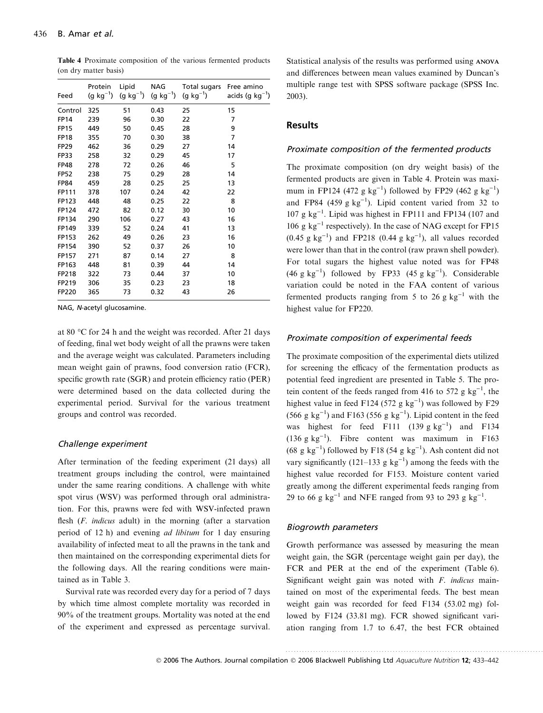| Feed        | Protein<br>(g $kg^{-1}$ ) | Lipid<br>(g kg $^{-1}$ ) | NAG<br>$(g kg^{-1})$ | Total sugars<br>(g $kg^{-1}$ ) | Free amino<br>acids (q $kq^{-1}$ ) |
|-------------|---------------------------|--------------------------|----------------------|--------------------------------|------------------------------------|
| Control     | 325                       | 51                       | 0.43                 | 25                             | 15                                 |
| <b>FP14</b> | 239                       | 96                       | 0.30                 | 22                             | 7                                  |
| <b>FP15</b> | 449                       | 50                       | 0.45                 | 28                             | 9                                  |
| <b>FP18</b> | 355                       | 70                       | 0.30                 | 38                             | 7                                  |
| <b>FP29</b> | 462                       | 36                       | 0.29                 | 27                             | 14                                 |
| <b>FP33</b> | 258                       | 32                       | 0.29                 | 45                             | 17                                 |
| <b>FP48</b> | 278                       | 72                       | 0.26                 | 46                             | 5                                  |
| <b>FP52</b> | 238                       | 75                       | 0.29                 | 28                             | 14                                 |
| <b>FP84</b> | 459                       | 28                       | 0.25                 | 25                             | 13                                 |
| FP111       | 378                       | 107                      | 0.24                 | 42                             | 22                                 |
| FP123       | 448                       | 48                       | 0.25                 | 22                             | 8                                  |
| FP124       | 472                       | 82                       | 0.12                 | 30                             | 10                                 |
| FP134       | 290                       | 106                      | 0.27                 | 43                             | 16                                 |
| FP149       | 339                       | 52                       | 0.24                 | 41                             | 13                                 |
| FP153       | 262                       | 49                       | 0.26                 | 23                             | 16                                 |
| FP154       | 390                       | 52                       | 0.37                 | 26                             | 10                                 |
| FP157       | 271                       | 87                       | 0.14                 | 27                             | 8                                  |
| FP163       | 448                       | 81                       | 0.39                 | 44                             | 14                                 |
| FP218       | 322                       | 73                       | 0.44                 | 37                             | 10                                 |
| FP219       | 306                       | 35                       | 0.23                 | 23                             | 18                                 |
| FP220       | 365                       | 73                       | 0.32                 | 43                             | 26                                 |
|             |                           |                          |                      |                                |                                    |

Table 4 Proximate composition of the various fermented products (on dry matter basis)

NAG, <sup>N</sup>-acetyl glucosamine.

at 80  $\degree$ C for 24 h and the weight was recorded. After 21 days of feeding, final wet body weight of all the prawns were taken and the average weight was calculated. Parameters including mean weight gain of prawns, food conversion ratio (FCR), specific growth rate (SGR) and protein efficiency ratio (PER) were determined based on the data collected during the experimental period. Survival for the various treatment groups and control was recorded.

#### Challenge experiment

After termination of the feeding experiment (21 days) all treatment groups including the control, were maintained under the same rearing conditions. A challenge with white spot virus (WSV) was performed through oral administration. For this, prawns were fed with WSV-infected prawn flesh (F. indicus adult) in the morning (after a starvation period of 12 h) and evening ad libitum for 1 day ensuring availability of infected meat to all the prawns in the tank and then maintained on the corresponding experimental diets for the following days. All the rearing conditions were maintained as in Table 3.

Survival rate was recorded every day for a period of 7 days by which time almost complete mortality was recorded in 90% of the treatment groups. Mortality was noted at the end of the experiment and expressed as percentage survival.

Statistical analysis of the results was performed using ANOVA and differences between mean values examined by Duncan's multiple range test with SPSS software package (SPSS Inc. 2003).

#### Results

#### Proximate composition of the fermented products

The proximate composition (on dry weight basis) of the fermented products are given in Table 4. Protein was maximum in FP124 (472 g  $kg^{-1}$ ) followed by FP29 (462 g  $kg^{-1}$ ) and FP84 (459 g  $kg^{-1}$ ). Lipid content varied from 32 to 107 g  $kg^{-1}$ . Lipid was highest in FP111 and FP134 (107 and 106 g  $kg^{-1}$  respectively). In the case of NAG except for FP15  $(0.45 \text{ g kg}^{-1})$  and FP218  $(0.44 \text{ g kg}^{-1})$ , all values recorded were lower than that in the control (raw prawn shell powder). For total sugars the highest value noted was for FP48  $(46 \text{ g kg}^{-1})$  followed by FP33  $(45 \text{ g kg}^{-1})$ . Considerable variation could be noted in the FAA content of various fermented products ranging from 5 to 26 g  $kg^{-1}$  with the highest value for FP220.

#### Proximate composition of experimental feeds

The proximate composition of the experimental diets utilized for screening the efficacy of the fermentation products as potential feed ingredient are presented in Table 5. The protein content of the feeds ranged from 416 to 572 g  $kg^{-1}$ , the highest value in feed F124 (572 g  $kg^{-1}$ ) was followed by F29 (566 g kg<sup>-1</sup>) and F163 (556 g kg<sup>-1</sup>). Lipid content in the feed was highest for feed F111  $(139 \text{ g kg}^{-1})$  and F134 (136 g kg<sup>-1</sup>). Fibre content was maximum in F163  $(68 \text{ g kg}^{-1})$  followed by F18 (54 g kg<sup>-1</sup>). Ash content did not vary significantly (121–133 g  $kg^{-1}$ ) among the feeds with the highest value recorded for F153. Moisture content varied greatly among the different experimental feeds ranging from 29 to 66 g  $\text{kg}^{-1}$  and NFE ranged from 93 to 293 g  $\text{kg}^{-1}$ .

#### Biogrowth parameters

Growth performance was assessed by measuring the mean weight gain, the SGR (percentage weight gain per day), the FCR and PER at the end of the experiment (Table 6). Significant weight gain was noted with F. indicus maintained on most of the experimental feeds. The best mean weight gain was recorded for feed F134 (53.02 mg) followed by F124 (33.81 mg). FCR showed significant variation ranging from 1.7 to 6.47, the best FCR obtained

© 2006 The Authors. Journal compilation © 2006 Blackwell Publishing Ltd Aquaculture Nutrition 12; 433-442

<sup>..............................................................................................</sup>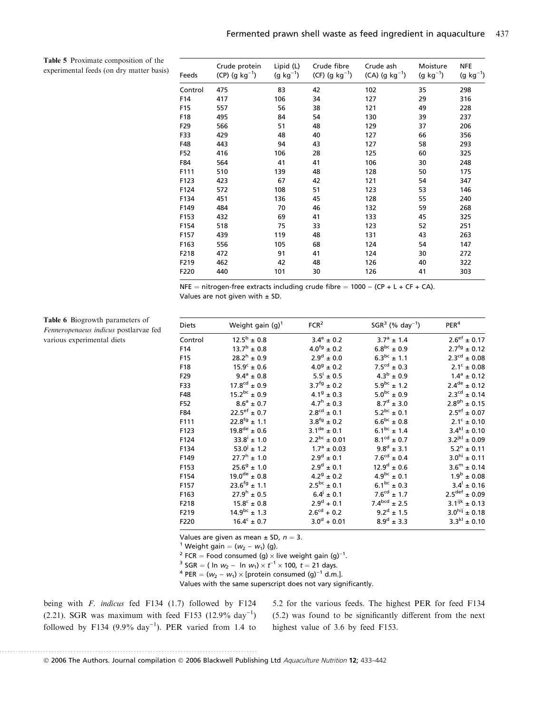Table 5 Proximate composition of the experimental feeds (on dry matter basis)

| Feeds   | Crude protein<br>(CP) (g $kg^{-1}$ ) | Lipid (L)<br>(g $kg^{-1}$ ) | Crude fibre<br>(CF) (g $kg^{-1}$ ) | Crude ash<br>(CA) (g $kg^{-1}$ ) | Moisture<br>$(g kg^{-1})$ | <b>NFE</b><br>$(g kg^{-1})$ |
|---------|--------------------------------------|-----------------------------|------------------------------------|----------------------------------|---------------------------|-----------------------------|
| Control | 475                                  | 83                          | 42                                 | 102                              | 35                        | 298                         |
| F14     | 417                                  | 106                         | 34                                 | 127                              | 29                        | 316                         |
| F15     | 557                                  | 56                          | 38                                 | 121                              | 49                        | 228                         |
| F18     | 495                                  | 84                          | 54                                 | 130                              | 39                        | 237                         |
| F29     | 566                                  | 51                          | 48                                 | 129                              | 37                        | 206                         |
| F33     | 429                                  | 48                          | 40                                 | 127                              | 66                        | 356                         |
| F48     | 443                                  | 94                          | 43                                 | 127                              | 58                        | 293                         |
| F52     | 416                                  | 106                         | 28                                 | 125                              | 60                        | 325                         |
| F84     | 564                                  | 41                          | 41                                 | 106                              | 30                        | 248                         |
| F111    | 510                                  | 139                         | 48                                 | 128                              | 50                        | 175                         |
| F123    | 423                                  | 67                          | 42                                 | 121                              | 54                        | 347                         |
| F124    | 572                                  | 108                         | 51                                 | 123                              | 53                        | 146                         |
| F134    | 451                                  | 136                         | 45                                 | 128                              | 55                        | 240                         |
| F149    | 484                                  | 70                          | 46                                 | 132                              | 59                        | 268                         |
| F153    | 432                                  | 69                          | 41                                 | 133                              | 45                        | 325                         |
| F154    | 518                                  | 75                          | 33                                 | 123                              | 52                        | 251                         |
| F157    | 439                                  | 119                         | 48                                 | 131                              | 43                        | 263                         |
| F163    | 556                                  | 105                         | 68                                 | 124                              | 54                        | 147                         |
| F218    | 472                                  | 91                          | 41                                 | 124                              | 30                        | 272                         |
| F219    | 462                                  | 42                          | 48                                 | 126                              | 40                        | 322                         |
| F220    | 440                                  | 101                         | 30                                 | 126                              | 41                        | 303                         |

NFE = nitrogen-free extracts including crude fibre =  $1000 - (CP + L + CF + CA)$ . Values are not given with  $\pm$  SD.

| <b>Diets</b>    | Weight gain $(q)^1$        | FCR <sup>2</sup>          | $SGR^3$ (% day <sup>-1</sup> ) | PER <sup>4</sup>            |
|-----------------|----------------------------|---------------------------|--------------------------------|-----------------------------|
| Control         | $12.5^b \pm 0.8$           | $3.4^{\circ} \pm 0.2$     | $3.7^{\circ}$ ± 1.4            | $2.6^{\text{ef}} \pm 0.17$  |
| F14             | $13.7^{\rm b}$ ± 0.8       | $4.0^{fg} \pm 0.2$        | $6.8^{bc} \pm 0.9$             | $2.7^{fg} \pm 0.12$         |
| F <sub>15</sub> | $28.2^h \pm 0.9$           | $2.9^d \pm 0.0$           | $6.3^{bc}$ ± 1.1               | $2.3^{\text{cd}} \pm 0.08$  |
| F18             | $15.9^{\circ} \pm 0.6$     | $4.0^9 \pm 0.2$           | $7.5^{\text{cd}} \pm 0.3$      | $2.1^{\circ} \pm 0.08$      |
| F29             | $9.4^{\circ} \pm 0.8$      | $5.5^{\text{i}} \pm 0.5$  | $4.3^{b} + 0.9$                | $1.4^a \pm 0.12$            |
| F33             | $17.8cd \pm 0.9$           | $3.7^{fg}$ ± 0.2          | $5.9^{bc} \pm 1.2$             | $2.4^{\text{de}} \pm 0.12$  |
| F48             | $15.2^{bc} \pm 0.9$        | $4.1^9 \pm 0.3$           | $5.0^{bc} \pm 0.9$             | $2.3^{\text{cd}} \pm 0.14$  |
| F52             | $8.6^{\circ} \pm 0.7$      | $4.7^{\rm h}$ ± 0.3       | $8.7^d \pm 3.0$                | $2.8^{gh} \pm 0.15$         |
| F84             | $22.5^{\text{ef}} \pm 0.7$ | $2.8^{\text{cd}} \pm 0.1$ | $5.2^{bc} \pm 0.1$             | $2.5^{\text{ef}} \pm 0.07$  |
| F111            | $22.8^{fg}$ ± 1.1          | $3.8^{fg}$ ± 0.2          | $6.6^{bc} \pm 0.8$             | $2.1^{\circ} \pm 0.10$      |
| F123            | $19.8^{de} \pm 0.6$        | $3.1^{de} \pm 0.1$        | $6.1^{bc} \pm 1.4$             | $3.4^{kl} \pm 0.10$         |
| F124            | $33.8^{i} \pm 1.0$         | $2.2^{bc} \pm 0.01$       | $8.1^{\text{cd}} \pm 0.7$      | $3.2^{jkl} \pm 0.09$        |
| F134            | $53.0^{\circ}$ ± 1.2       | $1.7^{\circ} \pm 0.03$    | $9.8^d \pm 3.1$                | $5.2^n \pm 0.11$            |
| F149            | $27.7^h \pm 1.0$           | $2.9^d \pm 0.1$           | $7.6^{\text{cd}} \pm 0.4$      | $3.0^{hi} \pm 0.11$         |
| F153            | $25.6^9 \pm 1.0$           | $2.9^d \pm 0.1$           | $12.9^d \pm 0.6$               | $3.6^{\rm m}$ ± 0.14        |
| F154            | $19.0^{\text{de}} \pm 0.8$ | $4.2^9 \pm 0.2$           | $4.9^{bc} \pm 0.1$             | $1.9^{\rm b}$ ± 0.08        |
| F157            | $23.6^{fg}$ ± 1.1          | $2.5^{bc} \pm 0.1$        | $6.1^{bc} \pm 0.3$             | $3.4^{\dagger} \pm 0.16$    |
| F163            | $27.9^h \pm 0.5$           | $6.4^{j} \pm 0.1$         | $7.6^{\text{cd}} \pm 1.7$      | $2.5^{\text{def}} \pm 0.09$ |
| F218            | $15.8^{\circ} \pm 0.8$     | $2.9^d + 0.1$             | $7.4^{bcd} \pm 2.5$            | $3.1^{ijk} \pm 0.13$        |
| F219            | $14.9^{bc}$ ± 1.3          | $2.6^{\text{cd}} + 0.2$   | $9.2^d \pm 1.5$                | $3.0^{hij} \pm 0.18$        |
| F220            | $16.4^c \pm 0.7$           | $3.0^d + 0.01$            | $8.9^d \pm 3.3$                | $3.3^{kl} \pm 0.10$         |
|                 |                            |                           |                                |                             |

Values are given as mean  $\pm$  SD,  $n = 3$ .

<sup>1</sup> Weight gain =  $(w_2 - w_1)$  (g).

<sup>2</sup> FCR = Food consumed (g)  $\times$  live weight gain (g)<sup>-1</sup>.

<sup>3</sup> SGR = ( ln  $w_2$  – ln  $w_1$ )  $\times$   $t^{-1}$   $\times$  100,  $t$  = 21 days.

<sup>4</sup> PER =  $(w_2 - w_1) \times$  [protein consumed (g)<sup>-1</sup> d.m.].

Values with the same superscript does not vary significantly.

being with F. indicus fed F134 (1.7) followed by F124 (2.21). SGR was maximum with feed F153 (12.9% day<sup>-1</sup>) followed by F134  $(9.9\% \text{ day}^{-1})$ . PER varied from 1.4 to

. .............................................................................................

5.2 for the various feeds. The highest PER for feed F134 (5.2) was found to be significantly different from the next highest value of 3.6 by feed F153.

© 2006 The Authors. Journal compilation © 2006 Blackwell Publishing Ltd *Aquaculture Nutrition* 12; 433–442

Table 6 Biogrowth parameters of Fenneropenaeus indicus postlarvae fed various experimental diets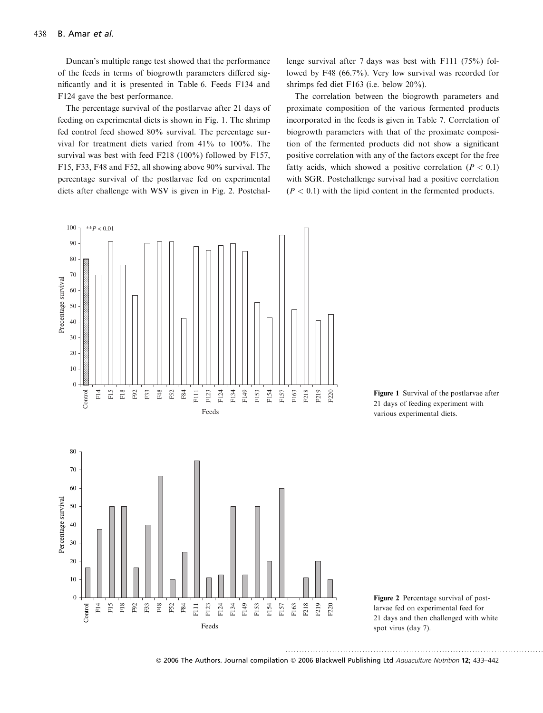Duncan's multiple range test showed that the performance of the feeds in terms of biogrowth parameters differed significantly and it is presented in Table 6. Feeds F134 and F124 gave the best performance.

The percentage survival of the postlarvae after 21 days of feeding on experimental diets is shown in Fig. 1. The shrimp fed control feed showed 80% survival. The percentage survival for treatment diets varied from 41% to 100%. The survival was best with feed F218 (100%) followed by F157, F15, F33, F48 and F52, all showing above 90% survival. The percentage survival of the postlarvae fed on experimental diets after challenge with WSV is given in Fig. 2. Postchallenge survival after 7 days was best with F111 (75%) followed by F48 (66.7%). Very low survival was recorded for shrimps fed diet F163 (i.e. below 20%).

The correlation between the biogrowth parameters and proximate composition of the various fermented products incorporated in the feeds is given in Table 7. Correlation of biogrowth parameters with that of the proximate composition of the fermented products did not show a significant positive correlation with any of the factors except for the free fatty acids, which showed a positive correlation ( $P < 0.1$ ) with SGR. Postchallenge survival had a positive correlation  $(P < 0.1)$  with the lipid content in the fermented products.



Figure 1 Survival of the postlarvae after 21 days of feeding experiment with various experimental diets.



© 2006 The Authors. Journal compilation © 2006 Blackwell Publishing Ltd Aquaculture Nutrition 12; 433-442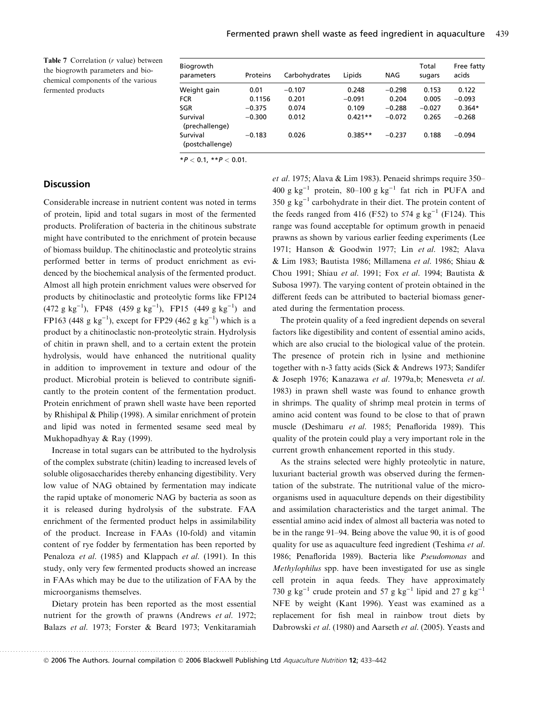Table 7 Correlation (*r* value) between the biogrowth parameters and biochemical components of the various fermented products

| Biogrowth<br>parameters     | Proteins | Carbohydrates | Lipids    | NAG      | Total<br>sugars | Free fatty<br>acids |
|-----------------------------|----------|---------------|-----------|----------|-----------------|---------------------|
| Weight gain                 | 0.01     | $-0.107$      | 0.248     | $-0.298$ | 0.153           | 0.122               |
| <b>FCR</b>                  | 0.1156   | 0.201         | $-0.091$  | 0.204    | 0.005           | $-0.093$            |
| SGR                         | $-0.375$ | 0.074         | 0.109     | $-0.288$ | $-0.027$        | $0.364*$            |
| Survival<br>(prechallenge)  | $-0.300$ | 0.012         | $0.421**$ | $-0.072$ | 0.265           | $-0.268$            |
| Survival<br>(postchallenge) | $-0.183$ | 0.026         | $0.385**$ | $-0.237$ | 0.188           | $-0.094$            |

 $*P < 0.1, **P < 0.01.$ 

## **Discussion**

Considerable increase in nutrient content was noted in terms of protein, lipid and total sugars in most of the fermented products. Proliferation of bacteria in the chitinous substrate might have contributed to the enrichment of protein because of biomass buildup. The chitinoclastic and proteolytic strains performed better in terms of product enrichment as evidenced by the biochemical analysis of the fermented product. Almost all high protein enrichment values were observed for products by chitinoclastic and proteolytic forms like FP124  $(472 \text{ g kg}^{-1})$ , FP48  $(459 \text{ g kg}^{-1})$ , FP15  $(449 \text{ g kg}^{-1})$  and FP163 (448 g  $kg^{-1}$ ), except for FP29 (462 g  $kg^{-1}$ ) which is a product by a chitinoclastic non-proteolytic strain. Hydrolysis of chitin in prawn shell, and to a certain extent the protein hydrolysis, would have enhanced the nutritional quality in addition to improvement in texture and odour of the product. Microbial protein is believed to contribute significantly to the protein content of the fermentation product. Protein enrichment of prawn shell waste have been reported by Rhishipal & Philip (1998). A similar enrichment of protein and lipid was noted in fermented sesame seed meal by Mukhopadhyay & Ray (1999).

Increase in total sugars can be attributed to the hydrolysis of the complex substrate (chitin) leading to increased levels of soluble oligosaccharides thereby enhancing digestibility. Very low value of NAG obtained by fermentation may indicate the rapid uptake of monomeric NAG by bacteria as soon as it is released during hydrolysis of the substrate. FAA enrichment of the fermented product helps in assimilability of the product. Increase in FAAs (10-fold) and vitamin content of rye fodder by fermentation has been reported by Penaloza et al. (1985) and Klappach et al. (1991). In this study, only very few fermented products showed an increase in FAAs which may be due to the utilization of FAA by the microorganisms themselves.

Dietary protein has been reported as the most essential nutrient for the growth of prawns (Andrews et al. 1972; Balazs et al. 1973; Forster & Beard 1973; Venkitaramiah et al. 1975; Alava & Lim 1983). Penaeid shrimps require 350– 400 g  $kg^{-1}$  protein, 80–100 g  $kg^{-1}$  fat rich in PUFA and 350 g  $kg^{-1}$  carbohydrate in their diet. The protein content of the feeds ranged from 416 (F52) to 574 g  $kg^{-1}$  (F124). This range was found acceptable for optimum growth in penaeid prawns as shown by various earlier feeding experiments (Lee 1971; Hanson & Goodwin 1977; Lin et al. 1982; Alava & Lim 1983; Bautista 1986; Millamena et al. 1986; Shiau & Chou 1991; Shiau et al. 1991; Fox et al. 1994; Bautista & Subosa 1997). The varying content of protein obtained in the different feeds can be attributed to bacterial biomass generated during the fermentation process.

The protein quality of a feed ingredient depends on several factors like digestibility and content of essential amino acids, which are also crucial to the biological value of the protein. The presence of protein rich in lysine and methionine together with n-3 fatty acids (Sick & Andrews 1973; Sandifer & Joseph 1976; Kanazawa et al. 1979a,b; Menesveta et al. 1983) in prawn shell waste was found to enhance growth in shrimps. The quality of shrimp meal protein in terms of amino acid content was found to be close to that of prawn muscle (Deshimaru et al. 1985; Penaflorida 1989). This quality of the protein could play a very important role in the current growth enhancement reported in this study.

As the strains selected were highly proteolytic in nature, luxuriant bacterial growth was observed during the fermentation of the substrate. The nutritional value of the microorganisms used in aquaculture depends on their digestibility and assimilation characteristics and the target animal. The essential amino acid index of almost all bacteria was noted to be in the range 91–94. Being above the value 90, it is of good quality for use as aquaculture feed ingredient (Teshima et al. 1986; Penaflorida 1989). Bacteria like Pseudomonas and Methylophilus spp. have been investigated for use as single cell protein in aqua feeds. They have approximately 730 g kg<sup>-1</sup> crude protein and 57 g kg<sup>-1</sup> lipid and 27 g kg<sup>-1</sup> NFE by weight (Kant 1996). Yeast was examined as a replacement for fish meal in rainbow trout diets by Dabrowski et al. (1980) and Aarseth et al. (2005). Yeasts and

. .............................................................................................

© 2006 The Authors. Journal compilation © 2006 Blackwell Publishing Ltd *Aquaculture Nutrition* 12; 433–442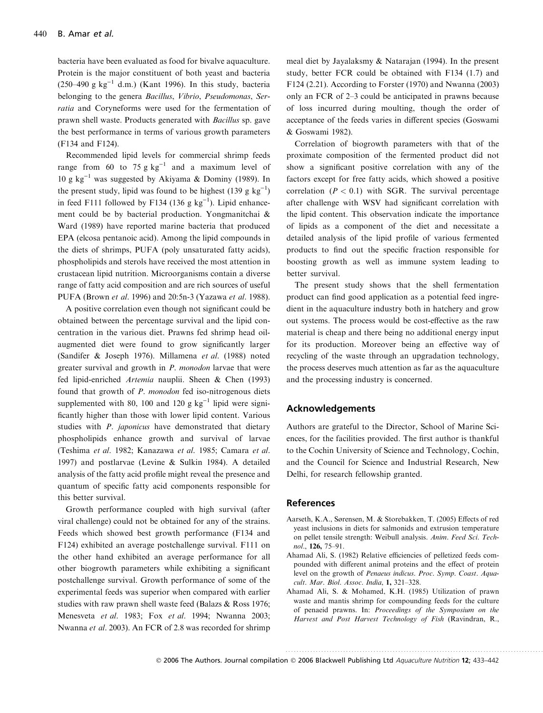bacteria have been evaluated as food for bivalve aquaculture. Protein is the major constituent of both yeast and bacteria (250–490 g kg<sup>-1</sup> d.m.) (Kant 1996). In this study, bacteria belonging to the genera Bacillus, Vibrio, Pseudomonas, Serratia and Coryneforms were used for the fermentation of prawn shell waste. Products generated with Bacillus sp. gave the best performance in terms of various growth parameters (F134 and F124).

Recommended lipid levels for commercial shrimp feeds range from 60 to 75 g  $kg^{-1}$  and a maximum level of 10 g kg<sup>-1</sup> was suggested by Akiyama & Dominy (1989). In the present study, lipid was found to be highest  $(139 \text{ g kg}^{-1})$ in feed F111 followed by F134 (136 g  $kg^{-1}$ ). Lipid enhancement could be by bacterial production. Yongmanitchai & Ward (1989) have reported marine bacteria that produced EPA (elcosa pentanoic acid). Among the lipid compounds in the diets of shrimps, PUFA (poly unsaturated fatty acids), phospholipids and sterols have received the most attention in crustacean lipid nutrition. Microorganisms contain a diverse range of fatty acid composition and are rich sources of useful PUFA (Brown et al. 1996) and 20:5n-3 (Yazawa et al. 1988).

A positive correlation even though not significant could be obtained between the percentage survival and the lipid concentration in the various diet. Prawns fed shrimp head oilaugmented diet were found to grow significantly larger (Sandifer & Joseph 1976). Millamena et al. (1988) noted greater survival and growth in P. monodon larvae that were fed lipid-enriched Artemia nauplii. Sheen & Chen (1993) found that growth of *P. monodon* fed iso-nitrogenous diets supplemented with 80, 100 and 120 g  $kg^{-1}$  lipid were significantly higher than those with lower lipid content. Various studies with *P. japonicus* have demonstrated that dietary phospholipids enhance growth and survival of larvae (Teshima et al. 1982; Kanazawa et al. 1985; Camara et al. 1997) and postlarvae (Levine & Sulkin 1984). A detailed analysis of the fatty acid profile might reveal the presence and quantum of specific fatty acid components responsible for this better survival.

Growth performance coupled with high survival (after viral challenge) could not be obtained for any of the strains. Feeds which showed best growth performance (F134 and F124) exhibited an average postchallenge survival. F111 on the other hand exhibited an average performance for all other biogrowth parameters while exhibiting a significant postchallenge survival. Growth performance of some of the experimental feeds was superior when compared with earlier studies with raw prawn shell waste feed (Balazs & Ross 1976; Menesveta et al. 1983; Fox et al. 1994; Nwanna 2003; Nwanna et al. 2003). An FCR of 2.8 was recorded for shrimp meal diet by Jayalaksmy & Natarajan (1994). In the present study, better FCR could be obtained with F134 (1.7) and F124 (2.21). According to Forster (1970) and Nwanna (2003) only an FCR of 2–3 could be anticipated in prawns because of loss incurred during moulting, though the order of acceptance of the feeds varies in different species (Goswami & Goswami 1982).

Correlation of biogrowth parameters with that of the proximate composition of the fermented product did not show a significant positive correlation with any of the factors except for free fatty acids, which showed a positive correlation ( $P < 0.1$ ) with SGR. The survival percentage after challenge with WSV had significant correlation with the lipid content. This observation indicate the importance of lipids as a component of the diet and necessitate a detailed analysis of the lipid profile of various fermented products to find out the specific fraction responsible for boosting growth as well as immune system leading to better survival.

The present study shows that the shell fermentation product can find good application as a potential feed ingredient in the aquaculture industry both in hatchery and grow out systems. The process would be cost-effective as the raw material is cheap and there being no additional energy input for its production. Moreover being an effective way of recycling of the waste through an upgradation technology, the process deserves much attention as far as the aquaculture and the processing industry is concerned.

## Acknowledgements

Authors are grateful to the Director, School of Marine Sciences, for the facilities provided. The first author is thankful to the Cochin University of Science and Technology, Cochin, and the Council for Science and Industrial Research, New Delhi, for research fellowship granted.

### References

- Aarseth, K.A., Sørensen, M. & Storebakken, T. (2005) Effects of red yeast inclusions in diets for salmonids and extrusion temperature on pellet tensile strength: Weibull analysis. Anim. Feed Sci. Technol.,  $126, 75-91$ .
- Ahamad Ali, S. (1982) Relative efficiencies of pelletized feeds compounded with different animal proteins and the effect of protein level on the growth of Penaeus indicus. Proc. Symp. Coast. Aquacult. Mar. Biol. Assoc. India, 1, 321–328.
- Ahamad Ali, S. & Mohamed, K.H. (1985) Utilization of prawn waste and mantis shrimp for compounding feeds for the culture of penaeid prawns. In: Proceedings of the Symposium on the Harvest and Post Harvest Technology of Fish (Ravindran, R.,

..............................................................................................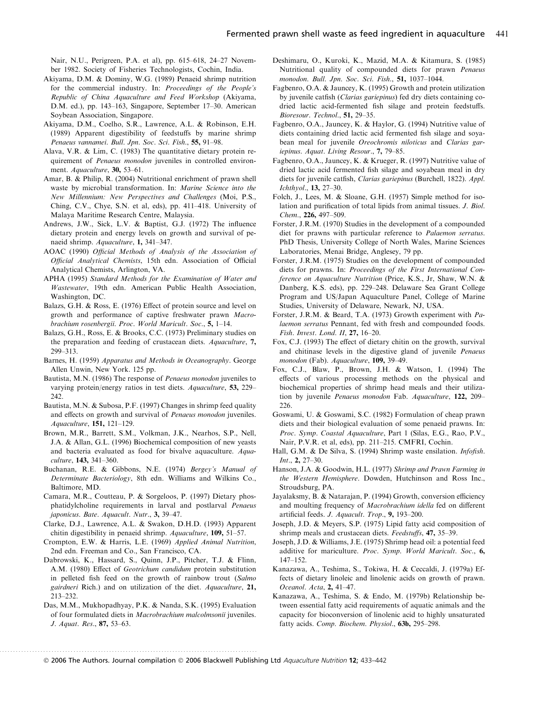Nair, N.U., Perigreen, P.A. et al), pp. 615–618, 24–27 November 1982. Society of Fisheries Technologists, Cochin, India.

- Akiyama, D.M. & Dominy, W.G. (1989) Penaeid shrimp nutrition for the commercial industry. In: Proceedings of the People's Republic of China Aquaculture and Feed Workshop (Akiyama, D.M. ed.), pp. 143–163, Singapore, September 17–30. American Soybean Association, Singapore.
- Akiyama, D.M., Coelho, S.R., Lawrence, A.L. & Robinson, E.H. (1989) Apparent digestibility of feedstuffs by marine shrimp Penaeus vannamei. Bull. Jpn. Soc. Sci. Fish., 55, 91–98.
- Alava, V.R. & Lim, C. (1983) The quantitative dietary protein requirement of Penaeus monodon juveniles in controlled environment. Aquaculture, 30, 53-61.
- Amar, B. & Philip, R. (2004) Nutritional enrichment of prawn shell waste by microbial transformation. In: Marine Science into the New Millennium: New Perspectives and Challenges (Moi, P.S., Ching, C.V., Chye, S.N. et al, eds), pp. 411–418. University of Malaya Maritime Research Centre, Malaysia.
- Andrews, J.W., Sick, L.V. & Baptist, G.J. (1972) The influence dietary protein and energy levels on growth and survival of penaeid shrimp. Aquaculture, 1, 341–347.
- AOAC (1990) Official Methods of Analysis of the Association of Official Analytical Chemists, 15th edn. Association of Official Analytical Chemists, Arlington, VA.
- APHA (1995) Standard Methods for the Examination of Water and Wastewater, 19th edn. American Public Health Association, Washington, DC.
- Balazs, G.H. & Ross, E. (1976) Effect of protein source and level on growth and performance of captive freshwater prawn Macrobrachium rosenbergii. Proc. World Maricult. Soc., 5, 1–14.
- Balazs, G.H., Ross, E. & Brooks, C.C. (1973) Preliminary studies on the preparation and feeding of crustacean diets. Aquaculture, 7, 299–313.
- Barnes, H. (1959) Apparatus and Methods in Oceanography. George Allen Unwin, New York. 125 pp.
- Bautista, M.N. (1986) The response of Penaeus monodon juveniles to varying protein/energy ratios in test diets. Aquaculture, 53, 229– 242.
- Bautista, M.N. & Subosa, P.F. (1997) Changes in shrimp feed quality and effects on growth and survival of Penaeus monodon juveniles. Aquaculture, 151, 121–129.
- Brown, M.R., Barrett, S.M., Volkman, J.K., Nearhos, S.P., Nell, J.A. & Allan, G.L. (1996) Biochemical composition of new yeasts and bacteria evaluated as food for bivalve aquaculture. Aquaculture, 143, 341–360.
- Buchanan, R.E. & Gibbons, N.E. (1974) Bergey's Manual of Determinate Bacteriology, 8th edn. Williams and Wilkins Co., Baltimore, MD.
- Camara, M.R., Coutteau, P. & Sorgeloos, P. (1997) Dietary phosphatidylcholine requirements in larval and postlarval Penaeus japonicus. Bate. Aquacult. Nutr., 3, 39–47.
- Clarke, D.J., Lawrence, A.L. & Swakon, D.H.D. (1993) Apparent chitin digestibility in penaeid shrimp. Aquaculture, 109, 51–57.
- Crompton, E.W. & Harris, L.E. (1969) Applied Animal Nutrition, 2nd edn. Freeman and Co., San Francisco, CA.
- Dabrowski, K., Hassard, S., Quinn, J.P., Pitcher, T.J. & Flinn, A.M. (1980) Effect of Geotrichum candidum protein substitution in pelleted fish feed on the growth of rainbow trout (Salmo gairdneri Rich.) and on utilization of the diet. Aquaculture, 21, 213–232.
- Das, M.M., Mukhopadhyay, P.K. & Nanda, S.K. (1995) Evaluation of four formulated diets in Macrobrachium malcolmsonii juveniles. J. Aquat. Res., 87, 53–63.

. .............................................................................................

- Deshimaru, O., Kuroki, K., Mazid, M.A. & Kitamura, S. (1985) Nutritional quality of compounded diets for prawn Penaeus monodon. Bull. Jpn. Soc. Sci. Fish., 51, 1037–1044.
- Fagbenro, O.A. & Jauncey, K. (1995) Growth and protein utilization by juvenile catfish (Clarias gariepinus) fed dry diets containing codried lactic acid-fermented fish silage and protein feedstuffs. Bioresour. Technol., 51, 29–35.
- Fagbenro, O.A., Jauncey, K. & Haylor, G. (1994) Nutritive value of diets containing dried lactic acid fermented fish silage and soyabean meal for juvenile Oreochromis niloticus and Clarias gariepinus. Aquat. Living Resour., 7, 79–85.
- Fagbenro, O.A., Jauncey, K. & Krueger, R. (1997) Nutritive value of dried lactic acid fermented fish silage and soyabean meal in dry diets for juvenile catfish, Clarias gariepinus (Burchell, 1822). Appl. Ichthyol., 13, 27–30.
- Folch, J., Lees, M. & Sloane, G.H. (1957) Simple method for isolation and purification of total lipids from animal tissues. J. Biol. Chem., 226, 497–509.
- Forster, J.R.M. (1970) Studies in the development of a compounded diet for prawns with particular reference to Palaemon serratus. PhD Thesis, University College of North Wales, Marine Sciences Laboratories, Menai Bridge, Anglesey, 79 pp.
- Forster, J.R.M. (1975) Studies on the development of compounded diets for prawns. In: Proceedings of the First International Conference on Aquaculture Nutrition (Price, K.S., Jr, Shaw, W.N. & Danberg, K.S. eds), pp. 229–248. Delaware Sea Grant College Program and US/Japan Aquaculture Panel, College of Marine Studies, University of Delaware, Newark, NJ, USA.
- Forster, J.R.M. & Beard, T.A. (1973) Growth experiment with Palaemon serratus Pennant, fed with fresh and compounded foods. Fish. Invest. Lond. II, 27, 16–20.
- Fox, C.J. (1993) The effect of dietary chitin on the growth, survival and chitinase levels in the digestive gland of juvenile Penaeus monodon (Fab). Aquaculture, 109, 39–49.
- Fox, C.J., Blaw, P., Brown, J.H. & Watson, I. (1994) The effects of various processing methods on the physical and biochemical properties of shrimp head meals and their utilization by juvenile Penaeus monodon Fab. Aquaculture, 122, 209– 226.
- Goswami, U. & Goswami, S.C. (1982) Formulation of cheap prawn diets and their biological evaluation of some penaeid prawns. In: Proc. Symp. Coastal Aquaculture, Part 1 (Silas, E.G., Rao, P.V., Nair, P.V.R. et al, eds), pp. 211–215. CMFRI, Cochin.
- Hall, G.M. & De Silva, S. (1994) Shrimp waste ensilation. Infofish. Int., 2, 27–30.
- Hanson, J.A. & Goodwin, H.L. (1977) Shrimp and Prawn Farming in the Western Hemisphere. Dowden, Hutchinson and Ross Inc., Stroudsburg, PA.
- Jayalaksmy, B. & Natarajan, P. (1994) Growth, conversion efficiency and moulting frequency of Macrobrachium idella fed on different artificial feeds. J. Aquacult. Trop., 9, 193–200.
- Joseph, J.D. & Meyers, S.P. (1975) Lipid fatty acid composition of shrimp meals and crustacean diets. Feedstuffs, 47, 35–39.
- Joseph, J.D. & Williams, J.E. (1975) Shrimp head oil: a potential feed additive for mariculture. Proc. Symp. World Maricult. Soc., 6, 147–152.
- Kanazawa, A., Teshima, S., Tokiwa, H. & Ceccaldi, J. (1979a) Effects of dietary linoleic and linolenic acids on growth of prawn. Oceanol. Acta, 2, 41–47.
- Kanazawa, A., Teshima, S. & Endo, M. (1979b) Relationship between essential fatty acid requirements of aquatic animals and the capacity for bioconversion of linolenic acid to highly unsaturated fatty acids. Comp. Biochem. Physiol., 63b, 295–298.

<sup>© 2006</sup> The Authors. Journal compilation © 2006 Blackwell Publishing Ltd *Aquaculture Nutrition* 12; 433–442